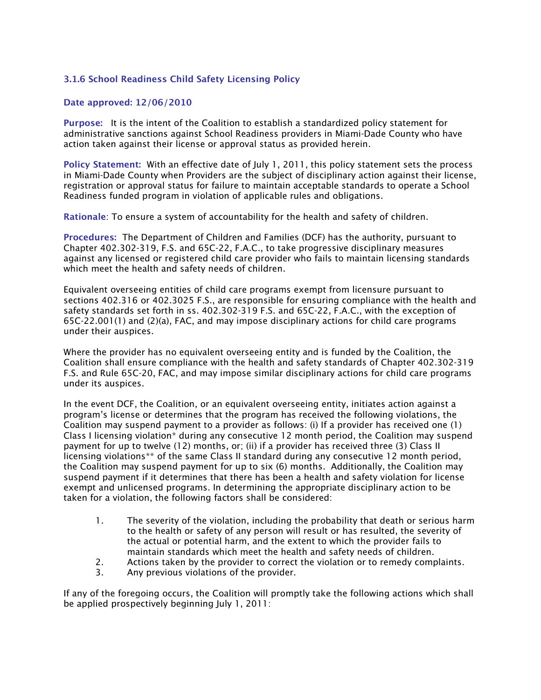## 3.1.6 School Readiness Child Safety Licensing Policy

## Date approved: 12/06/2010

Purpose: It is the intent of the Coalition to establish a standardized policy statement for administrative sanctions against School Readiness providers in Miami-Dade County who have action taken against their license or approval status as provided herein.

Policy Statement: With an effective date of July 1, 2011, this policy statement sets the process in Miami-Dade County when Providers are the subject of disciplinary action against their license, registration or approval status for failure to maintain acceptable standards to operate a School Readiness funded program in violation of applicable rules and obligations.

Rationale: To ensure a system of accountability for the health and safety of children.

Procedures: The Department of Children and Families (DCF) has the authority, pursuant to Chapter 402.302-319, F.S. and 65C-22, F.A.C., to take progressive disciplinary measures against any licensed or registered child care provider who fails to maintain licensing standards which meet the health and safety needs of children.

Equivalent overseeing entities of child care programs exempt from licensure pursuant to sections 402.316 or 402.3025 F.S., are responsible for ensuring compliance with the health and safety standards set forth in ss. 402.302-319 F.S. and 65C-22, F.A.C., with the exception of 65C-22.001(1) and (2)(a), FAC, and may impose disciplinary actions for child care programs under their auspices.

Where the provider has no equivalent overseeing entity and is funded by the Coalition, the Coalition shall ensure compliance with the health and safety standards of Chapter 402.302-319 F.S. and Rule 65C-20, FAC, and may impose similar disciplinary actions for child care programs under its auspices.

In the event DCF, the Coalition, or an equivalent overseeing entity, initiates action against a program's license or determines that the program has received the following violations, the Coalition may suspend payment to a provider as follows: (i) If a provider has received one (1) Class I licensing violation\* during any consecutive 12 month period, the Coalition may suspend payment for up to twelve (12) months, or; (ii) if a provider has received three (3) Class II licensing violations\*\* of the same Class II standard during any consecutive 12 month period, the Coalition may suspend payment for up to six (6) months. Additionally, the Coalition may suspend payment if it determines that there has been a health and safety violation for license exempt and unlicensed programs. In determining the appropriate disciplinary action to be taken for a violation, the following factors shall be considered:

- 1. The severity of the violation, including the probability that death or serious harm to the health or safety of any person will result or has resulted, the severity of the actual or potential harm, and the extent to which the provider fails to maintain standards which meet the health and safety needs of children.
- 2. Actions taken by the provider to correct the violation or to remedy complaints.
- 3. Any previous violations of the provider.

If any of the foregoing occurs, the Coalition will promptly take the following actions which shall be applied prospectively beginning July 1, 2011: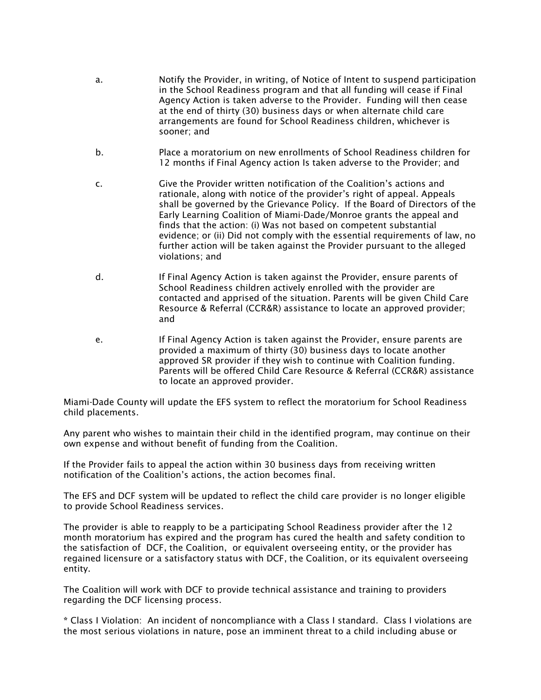- a. Notify the Provider, in writing, of Notice of Intent to suspend participation in the School Readiness program and that all funding will cease if Final Agency Action is taken adverse to the Provider. Funding will then cease at the end of thirty (30) business days or when alternate child care arrangements are found for School Readiness children, whichever is sooner; and
- b. Place a moratorium on new enrollments of School Readiness children for 12 months if Final Agency action Is taken adverse to the Provider; and
- c. Give the Provider written notification of the Coalition's actions and rationale, along with notice of the provider's right of appeal. Appeals shall be governed by the Grievance Policy. If the Board of Directors of the Early Learning Coalition of Miami-Dade/Monroe grants the appeal and finds that the action: (i) Was not based on competent substantial evidence; or (ii) Did not comply with the essential requirements of law, no further action will be taken against the Provider pursuant to the alleged violations; and
- d. If Final Agency Action is taken against the Provider, ensure parents of School Readiness children actively enrolled with the provider are contacted and apprised of the situation. Parents will be given Child Care Resource & Referral (CCR&R) assistance to locate an approved provider; and
- e. If Final Agency Action is taken against the Provider, ensure parents are provided a maximum of thirty (30) business days to locate another approved SR provider if they wish to continue with Coalition funding. Parents will be offered Child Care Resource & Referral (CCR&R) assistance to locate an approved provider.

Miami-Dade County will update the EFS system to reflect the moratorium for School Readiness child placements.

Any parent who wishes to maintain their child in the identified program, may continue on their own expense and without benefit of funding from the Coalition.

If the Provider fails to appeal the action within 30 business days from receiving written notification of the Coalition's actions, the action becomes final.

The EFS and DCF system will be updated to reflect the child care provider is no longer eligible to provide School Readiness services.

The provider is able to reapply to be a participating School Readiness provider after the 12 month moratorium has expired and the program has cured the health and safety condition to the satisfaction of DCF, the Coalition, or equivalent overseeing entity, or the provider has regained licensure or a satisfactory status with DCF, the Coalition, or its equivalent overseeing entity.

The Coalition will work with DCF to provide technical assistance and training to providers regarding the DCF licensing process.

\* Class I Violation: An incident of noncompliance with a Class I standard. Class I violations are the most serious violations in nature, pose an imminent threat to a child including abuse or